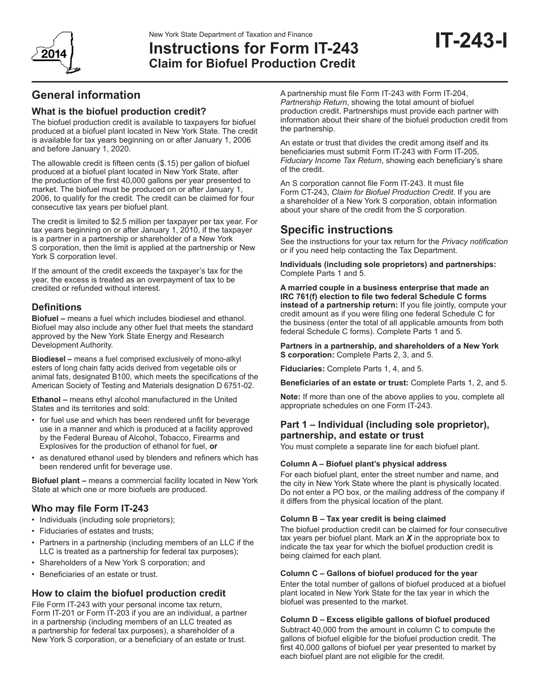

# New York State Department of Taxation and Finance<br>**Instructions for Form IT-243 IT-243 Claim for Biofuel Production Credit**

# **General information**

# **What is the biofuel production credit?**

The biofuel production credit is available to taxpayers for biofuel produced at a biofuel plant located in New York State. The credit is available for tax years beginning on or after January 1, 2006 and before January 1, 2020.

The allowable credit is fifteen cents (\$.15) per gallon of biofuel produced at a biofuel plant located in New York State, after the production of the first 40,000 gallons per year presented to market. The biofuel must be produced on or after January 1, 2006, to qualify for the credit. The credit can be claimed for four consecutive tax years per biofuel plant.

The credit is limited to \$2.5 million per taxpayer per tax year. For tax years beginning on or after January 1, 2010, if the taxpayer is a partner in a partnership or shareholder of a New York S corporation, then the limit is applied at the partnership or New York S corporation level.

If the amount of the credit exceeds the taxpayer's tax for the year, the excess is treated as an overpayment of tax to be credited or refunded without interest.

## **Definitions**

**Biofuel –** means a fuel which includes biodiesel and ethanol. Biofuel may also include any other fuel that meets the standard approved by the New York State Energy and Research Development Authority.

**Biodiesel –** means a fuel comprised exclusively of mono-alkyl esters of long chain fatty acids derived from vegetable oils or animal fats, designated B100, which meets the specifications of the American Society of Testing and Materials designation D 6751-02.

**Ethanol –** means ethyl alcohol manufactured in the United States and its territories and sold:

- for fuel use and which has been rendered unfit for beverage use in a manner and which is produced at a facility approved by the Federal Bureau of Alcohol, Tobacco, Firearms and Explosives for the production of ethanol for fuel, **or**
- as denatured ethanol used by blenders and refiners which has been rendered unfit for beverage use.

**Biofuel plant –** means a commercial facility located in New York State at which one or more biofuels are produced.

# **Who may file Form IT-243**

- Individuals (including sole proprietors);
- Fiduciaries of estates and trusts;
- Partners in a partnership (including members of an LLC if the LLC is treated as a partnership for federal tax purposes);
- Shareholders of a New York S corporation; and
- Beneficiaries of an estate or trust.

# **How to claim the biofuel production credit**

File Form IT-243 with your personal income tax return, Form IT-201 or Form IT-203 if you are an individual, a partner in a partnership (including members of an LLC treated as a partnership for federal tax purposes), a shareholder of a New York S corporation, or a beneficiary of an estate or trust.

A partnership must file Form IT-243 with Form IT-204, *Partnership Return*, showing the total amount of biofuel production credit. Partnerships must provide each partner with information about their share of the biofuel production credit from the partnership.

An estate or trust that divides the credit among itself and its beneficiaries must submit Form IT-243 with Form IT-205, *Fiduciary Income Tax Return*, showing each beneficiary's share of the credit.

An S corporation cannot file Form IT-243. It must file Form CT-243, *Claim for Biofuel Production Credit*. If you are a shareholder of a New York S corporation, obtain information about your share of the credit from the S corporation.

# **Specific instructions**

See the instructions for your tax return for the *Privacy notification* or if you need help contacting the Tax Department.

**Individuals (including sole proprietors) and partnerships:** Complete Parts 1 and 5.

**A married couple in a business enterprise that made an IRC 761(f) election to file two federal Schedule C forms instead of a partnership return:** If you file jointly, compute your credit amount as if you were filing one federal Schedule C for the business (enter the total of all applicable amounts from both federal Schedule C forms). Complete Parts 1 and 5.

**Partners in a partnership, and shareholders of a New York S corporation:** Complete Parts 2, 3, and 5.

**Fiduciaries:** Complete Parts 1, 4, and 5.

**Beneficiaries of an estate or trust:** Complete Parts 1, 2, and 5.

**Note:** If more than one of the above applies to you, complete all appropriate schedules on one Form IT-243.

# **Part 1 – Individual (including sole proprietor), partnership, and estate or trust**

You must complete a separate line for each biofuel plant.

#### **Column A – Biofuel plant's physical address**

For each biofuel plant, enter the street number and name, and the city in New York State where the plant is physically located. Do not enter a PO box, or the mailing address of the company if it differs from the physical location of the plant.

#### **Column B – Tax year credit is being claimed**

The biofuel production credit can be claimed for four consecutive tax years per biofuel plant. Mark an *X* in the appropriate box to indicate the tax year for which the biofuel production credit is being claimed for each plant.

#### **Column C – Gallons of biofuel produced for the year**

Enter the total number of gallons of biofuel produced at a biofuel plant located in New York State for the tax year in which the biofuel was presented to the market.

#### **Column D – Excess eligible gallons of biofuel produced**

Subtract 40,000 from the amount in column C to compute the gallons of biofuel eligible for the biofuel production credit. The first 40,000 gallons of biofuel per year presented to market by each biofuel plant are not eligible for the credit.